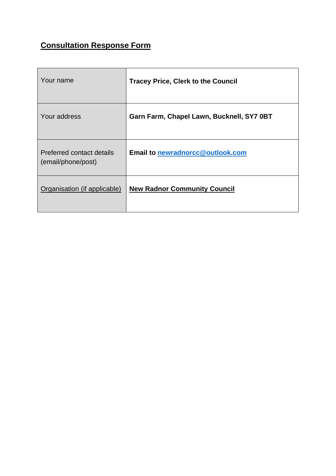# **Consultation Response Form**

| Your name                                       | <b>Tracey Price, Clerk to the Council</b> |
|-------------------------------------------------|-------------------------------------------|
| Your address                                    | Garn Farm, Chapel Lawn, Bucknell, SY7 0BT |
| Preferred contact details<br>(email/phone/post) | <b>Email to newradnorcc@outlook.com</b>   |
| Organisation (if applicable)                    | <b>New Radnor Community Council</b>       |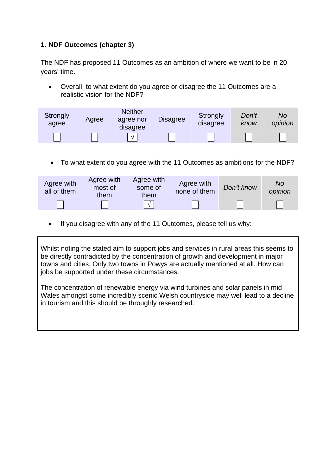### **1. NDF Outcomes (chapter 3)**

The NDF has proposed 11 Outcomes as an ambition of where we want to be in 20 years' time.

• Overall, to what extent do you agree or disagree the 11 Outcomes are a realistic vision for the NDF?

| Strongly<br>agree | Agree | <b>Neither</b><br>agree nor<br>disagree | <b>Disagree</b> | Strongly<br>disagree | Don't<br>know | No<br>opinion |
|-------------------|-------|-----------------------------------------|-----------------|----------------------|---------------|---------------|
|                   |       | $\gamma$                                |                 |                      |               |               |

• To what extent do you agree with the 11 Outcomes as ambitions for the NDF?

| Agree with<br>all of them | Agree with<br>most of<br>them | Agree with<br>some of<br>them | Agree with<br>none of them | Don't know | Nο<br>opinion |
|---------------------------|-------------------------------|-------------------------------|----------------------------|------------|---------------|
|                           |                               |                               |                            |            |               |

• If you disagree with any of the 11 Outcomes, please tell us why:

Whilst noting the stated aim to support jobs and services in rural areas this seems to be directly contradicted by the concentration of growth and development in major towns and cities. Only two towns in Powys are actually mentioned at all. How can jobs be supported under these circumstances.

The concentration of renewable energy via wind turbines and solar panels in mid Wales amongst some incredibly scenic Welsh countryside may well lead to a decline in tourism and this should be throughly researched.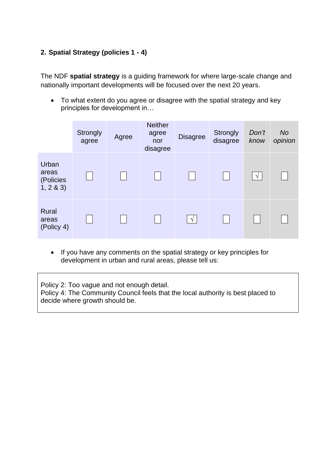### **2. Spatial Strategy (policies 1 - 4)**

The NDF **spatial strategy** is a guiding framework for where large-scale change and nationally important developments will be focused over the next 20 years.

• To what extent do you agree or disagree with the spatial strategy and key principles for development in…

|                                         | Strongly<br>agree | Agree | <b>Neither</b><br>agree<br>nor<br>disagree | <b>Disagree</b> | <b>Strongly</b><br>disagree | Don't<br>know | <b>No</b><br>opinion |
|-----------------------------------------|-------------------|-------|--------------------------------------------|-----------------|-----------------------------|---------------|----------------------|
| Urban<br>areas<br>(Policies<br>1, 2 & 3 |                   |       |                                            |                 |                             | $\sqrt{ }$    |                      |
| <b>Rural</b><br>areas<br>(Policy 4)     |                   |       |                                            | $\sqrt{ }$      |                             |               |                      |

• If you have any comments on the spatial strategy or key principles for development in urban and rural areas, please tell us:

Policy 2: Too vague and not enough detail. Policy 4: The Community Council feels that the local authority is best placed to decide where growth should be.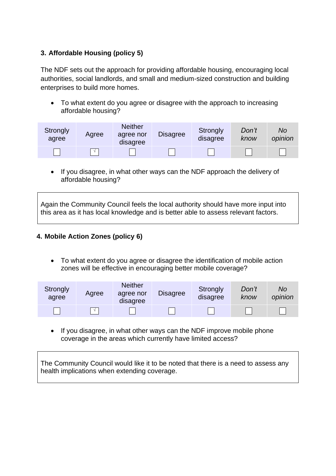### **3. Affordable Housing (policy 5)**

The NDF sets out the approach for providing affordable housing, encouraging local authorities, social landlords, and small and medium-sized construction and building enterprises to build more homes.

• To what extent do you agree or disagree with the approach to increasing affordable housing?

| Strongly<br>agree | Agree | <b>Neither</b><br>agree nor<br>disagree | <b>Disagree</b> | Strongly<br>disagree | Don't<br>know | No<br>opinion |
|-------------------|-------|-----------------------------------------|-----------------|----------------------|---------------|---------------|
|                   |       |                                         |                 |                      |               |               |

• If you disagree, in what other ways can the NDF approach the delivery of affordable housing?

Again the Community Council feels the local authority should have more input into this area as it has local knowledge and is better able to assess relevant factors.

### **4. Mobile Action Zones (policy 6)**

• To what extent do you agree or disagree the identification of mobile action zones will be effective in encouraging better mobile coverage?

| Strongly<br>agree | Agree      | <b>Neither</b><br>agree nor<br>disagree | <b>Disagree</b> | Strongly<br>disagree | Don't<br>know | No<br>opinion |
|-------------------|------------|-----------------------------------------|-----------------|----------------------|---------------|---------------|
|                   | $\sqrt{ }$ |                                         |                 |                      |               |               |

• If you disagree, in what other ways can the NDF improve mobile phone coverage in the areas which currently have limited access?

The Community Council would like it to be noted that there is a need to assess any health implications when extending coverage.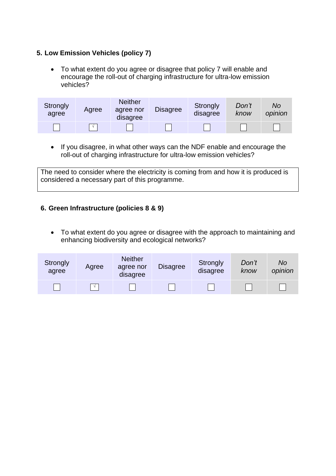### **5. Low Emission Vehicles (policy 7)**

• To what extent do you agree or disagree that policy 7 will enable and encourage the roll-out of charging infrastructure for ultra-low emission vehicles?

| Strongly<br>agree | Agree      | <b>Neither</b><br>agree nor<br>disagree | <b>Disagree</b> | Strongly<br>disagree | Don't<br>know | No<br>opinion |
|-------------------|------------|-----------------------------------------|-----------------|----------------------|---------------|---------------|
|                   | $\sqrt{ }$ |                                         |                 |                      |               |               |

• If you disagree, in what other ways can the NDF enable and encourage the roll-out of charging infrastructure for ultra-low emission vehicles?

The need to consider where the electricity is coming from and how it is produced is considered a necessary part of this programme.

### **6. Green Infrastructure (policies 8 & 9)**

• To what extent do you agree or disagree with the approach to maintaining and enhancing biodiversity and ecological networks?

| Strongly<br>agree | Agree      | <b>Neither</b><br>agree nor<br>disagree | <b>Disagree</b> | Strongly<br>disagree | Don't<br>know | No<br>opinion |
|-------------------|------------|-----------------------------------------|-----------------|----------------------|---------------|---------------|
|                   | $\sqrt{ }$ |                                         |                 |                      |               |               |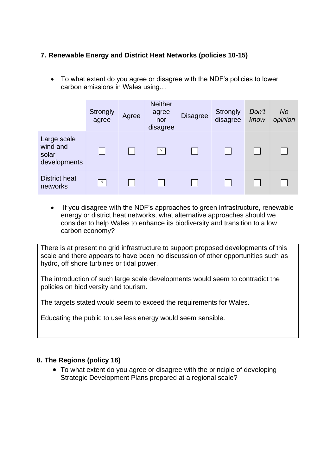### **7. Renewable Energy and District Heat Networks (policies 10-15)**

• To what extent do you agree or disagree with the NDF's policies to lower carbon emissions in Wales using…

|                                                  | Strongly<br>agree | Agree | <b>Neither</b><br>agree<br>nor<br>disagree | <b>Disagree</b> | <b>Strongly</b><br>disagree | Don't<br>know | <b>No</b><br>opinion |
|--------------------------------------------------|-------------------|-------|--------------------------------------------|-----------------|-----------------------------|---------------|----------------------|
| Large scale<br>wind and<br>solar<br>developments |                   |       |                                            |                 |                             |               |                      |
| <b>District heat</b><br>networks                 | $\sqrt{ }$        |       |                                            |                 |                             |               |                      |

• If you disagree with the NDF's approaches to green infrastructure, renewable energy or district heat networks, what alternative approaches should we consider to help Wales to enhance its biodiversity and transition to a low carbon economy?

There is at present no grid infrastructure to support proposed developments of this scale and there appears to have been no discussion of other opportunities such as hydro, off shore turbines or tidal power.

The introduction of such large scale developments would seem to contradict the policies on biodiversity and tourism.

The targets stated would seem to exceed the requirements for Wales.

Educating the public to use less energy would seem sensible.

### **8. The Regions (policy 16)**

• To what extent do you agree or disagree with the principle of developing Strategic Development Plans prepared at a regional scale?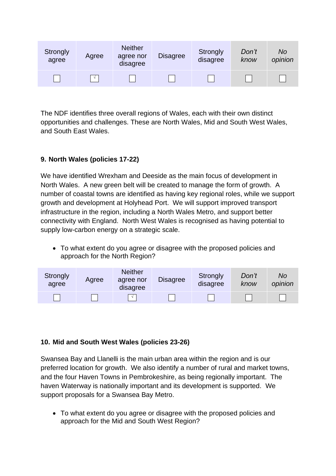| Strongly<br>agree | Agree      | <b>Neither</b><br>agree nor<br>disagree | <b>Disagree</b> | Strongly<br>disagree | Don't<br>know | No<br>opinion |
|-------------------|------------|-----------------------------------------|-----------------|----------------------|---------------|---------------|
|                   | $\sqrt{ }$ |                                         |                 |                      |               |               |

The NDF identifies three overall regions of Wales, each with their own distinct opportunities and challenges. These are North Wales, Mid and South West Wales, and South East Wales.

### **9. North Wales (policies 17-22)**

We have identified Wrexham and Deeside as the main focus of development in North Wales. A new green belt will be created to manage the form of growth. A number of coastal towns are identified as having key regional roles, while we support growth and development at Holyhead Port. We will support improved transport infrastructure in the region, including a North Wales Metro, and support better connectivity with England. North West Wales is recognised as having potential to supply low-carbon energy on a strategic scale.

• To what extent do you agree or disagree with the proposed policies and approach for the North Region?

| Strongly<br>agree | Agree | <b>Neither</b><br>agree nor<br>disagree | <b>Disagree</b> | Strongly<br>disagree | Don't<br>know | No<br>opinion |
|-------------------|-------|-----------------------------------------|-----------------|----------------------|---------------|---------------|
|                   |       |                                         |                 |                      |               |               |

### **10. Mid and South West Wales (policies 23-26)**

Swansea Bay and Llanelli is the main urban area within the region and is our preferred location for growth. We also identify a number of rural and market towns, and the four Haven Towns in Pembrokeshire, as being regionally important. The haven Waterway is nationally important and its development is supported. We support proposals for a Swansea Bay Metro.

• To what extent do you agree or disagree with the proposed policies and approach for the Mid and South West Region?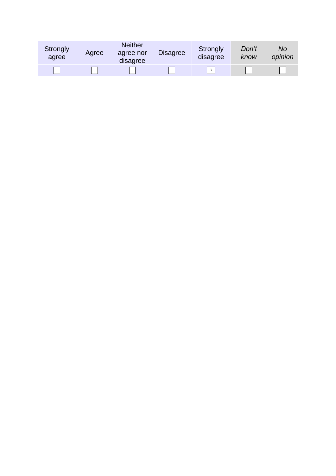| Strongly<br>agree | Agree | <b>Neither</b><br>agree nor<br>disagree | <b>Disagree</b> | Strongly<br>disagree | Don't<br>know | No<br>opinion |
|-------------------|-------|-----------------------------------------|-----------------|----------------------|---------------|---------------|
|                   |       |                                         |                 | $\sim$               |               |               |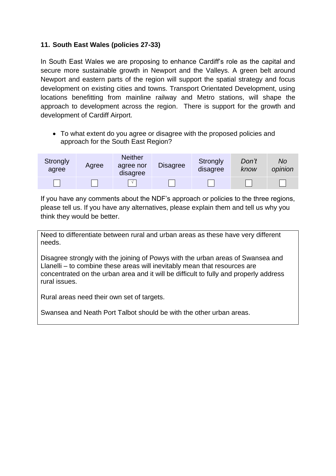### **11. South East Wales (policies 27-33)**

In South East Wales we are proposing to enhance Cardiff's role as the capital and secure more sustainable growth in Newport and the Valleys. A green belt around Newport and eastern parts of the region will support the spatial strategy and focus development on existing cities and towns. Transport Orientated Development, using locations benefitting from mainline railway and Metro stations, will shape the approach to development across the region. There is support for the growth and development of Cardiff Airport.

• To what extent do you agree or disagree with the proposed policies and approach for the South East Region?



If you have any comments about the NDF's approach or policies to the three regions, please tell us. If you have any alternatives, please explain them and tell us why you think they would be better.

Need to differentiate between rural and urban areas as these have very different needs.

Disagree strongly with the joining of Powys with the urban areas of Swansea and Llanelli – to combine these areas will inevitably mean that resources are concentrated on the urban area and it will be difficult to fully and properly address rural issues.

Rural areas need their own set of targets.

Swansea and Neath Port Talbot should be with the other urban areas.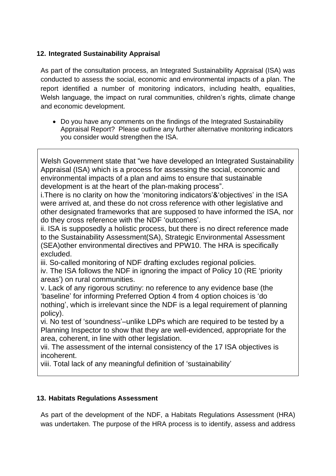### **12. Integrated Sustainability Appraisal**

As part of the consultation process, an Integrated Sustainability Appraisal (ISA) was conducted to assess the social, economic and environmental impacts of a plan. The report identified a number of monitoring indicators, including health, equalities, Welsh language, the impact on rural communities, children's rights, climate change and economic development.

• Do you have any comments on the findings of the Integrated Sustainability Appraisal Report? Please outline any further alternative monitoring indicators you consider would strengthen the ISA.

Welsh Government state that "we have developed an Integrated Sustainability Appraisal (ISA) which is a process for assessing the social, economic and environmental impacts of a plan and aims to ensure that sustainable development is at the heart of the plan-making process".

i.There is no clarity on how the 'monitoring indicators'&'objectives' in the ISA were arrived at, and these do not cross reference with other legislative and other designated frameworks that are supposed to have informed the ISA, nor do they cross reference with the NDF 'outcomes'.

ii. ISA is supposedly a holistic process, but there is no direct reference made to the Sustainability Assessment(SA), Strategic Environmental Assessment (SEA)other environmental directives and PPW10. The HRA is specifically excluded.

iii. So-called monitoring of NDF drafting excludes regional policies.

iv. The ISA follows the NDF in ignoring the impact of Policy 10 (RE 'priority areas') on rural communities.

v. Lack of any rigorous scrutiny: no reference to any evidence base (the 'baseline' for informing Preferred Option 4 from 4 option choices is 'do nothing', which is irrelevant since the NDF is a legal requirement of planning policy).

vi. No test of 'soundness'–unlike LDPs which are required to be tested by a Planning Inspector to show that they are well-evidenced, appropriate for the area, coherent, in line with other legislation.

vii. The assessment of the internal consistency of the 17 ISA objectives is incoherent.

viii. Total lack of any meaningful definition of 'sustainability'

### **13. Habitats Regulations Assessment**

As part of the development of the NDF, a Habitats Regulations Assessment (HRA) was undertaken. The purpose of the HRA process is to identify, assess and address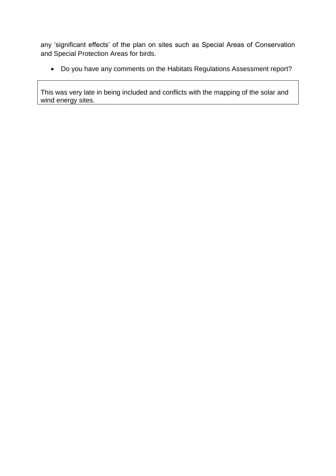any 'significant effects' of the plan on sites such as Special Areas of Conservation and Special Protection Areas for birds.

• Do you have any comments on the Habitats Regulations Assessment report?

This was very late in being included and conflicts with the mapping of the solar and wind energy sites.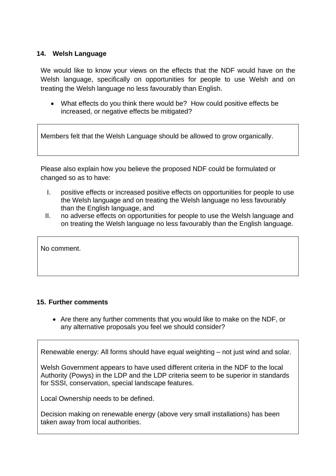#### **14. Welsh Language**

We would like to know your views on the effects that the NDF would have on the Welsh language, specifically on opportunities for people to use Welsh and on treating the Welsh language no less favourably than English.

• What effects do you think there would be? How could positive effects be increased, or negative effects be mitigated?

Members felt that the Welsh Language should be allowed to grow organically.

Please also explain how you believe the proposed NDF could be formulated or changed so as to have:

- I. positive effects or increased positive effects on opportunities for people to use the Welsh language and on treating the Welsh language no less favourably than the English language, and
- II. no adverse effects on opportunities for people to use the Welsh language and on treating the Welsh language no less favourably than the English language.

No comment.

#### **15. Further comments**

• Are there any further comments that you would like to make on the NDF, or any alternative proposals you feel we should consider?

Renewable energy: All forms should have equal weighting – not just wind and solar.

Welsh Government appears to have used different criteria in the NDF to the local Authority (Powys) in the LDP and the LDP criteria seem to be superior in standards for SSSI, conservation, special landscape features.

Local Ownership needs to be defined.

Decision making on renewable energy (above very small installations) has been taken away from local authorities.